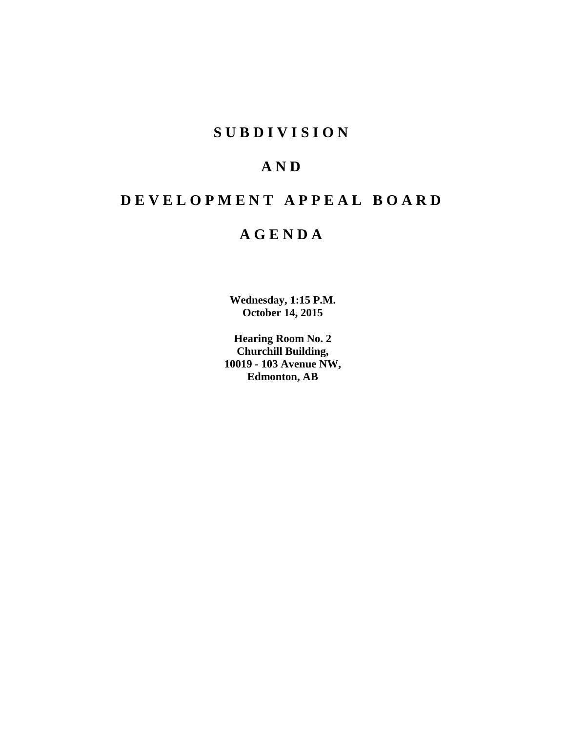# **S U B D I V I S I O N**

# **A N D**

# **D E V E L O P M E N T A P P E A L B O A R D**

# **A G E N D A**

**Wednesday, 1:15 P.M. October 14, 2015**

**Hearing Room No. 2 Churchill Building, 10019 - 103 Avenue NW, Edmonton, AB**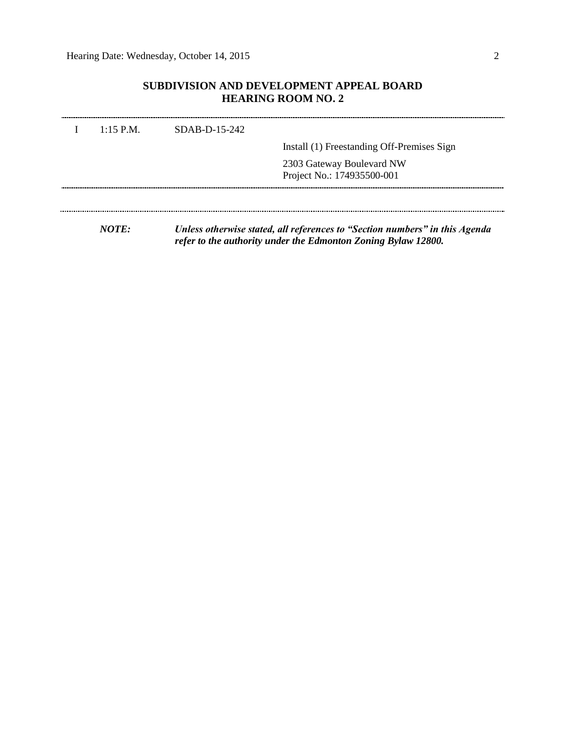## **SUBDIVISION AND DEVELOPMENT APPEAL BOARD HEARING ROOM NO. 2**

| $1:15$ P.M.  | $SDAB-D-15-242$ |                                                                             |
|--------------|-----------------|-----------------------------------------------------------------------------|
|              |                 | Install (1) Freestanding Off-Premises Sign                                  |
|              |                 | 2303 Gateway Boulevard NW<br>Project No.: 174935500-001                     |
|              |                 |                                                                             |
| <i>NOTE:</i> |                 | Unless otherwise stated, all references to "Section numbers" in this Agenda |

*refer to the authority under the Edmonton Zoning Bylaw 12800.*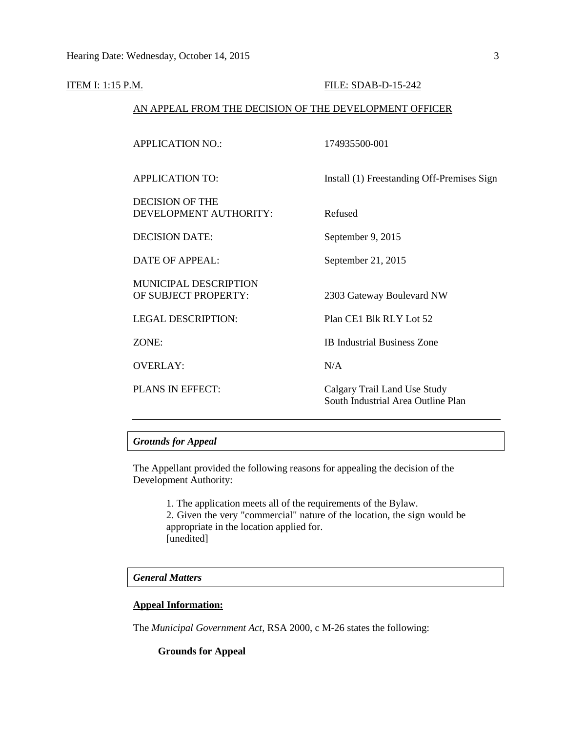#### **ITEM I: 1:15 P.M. FILE: SDAB-D-15-242**

#### AN APPEAL FROM THE DECISION OF THE DEVELOPMENT OFFICER

| <b>APPLICATION NO.:</b>                              | 174935500-001                                                      |
|------------------------------------------------------|--------------------------------------------------------------------|
| <b>APPLICATION TO:</b>                               | Install (1) Freestanding Off-Premises Sign                         |
| <b>DECISION OF THE</b><br>DEVELOPMENT AUTHORITY:     | Refused                                                            |
| <b>DECISION DATE:</b>                                | September 9, 2015                                                  |
| DATE OF APPEAL:                                      | September 21, 2015                                                 |
| <b>MUNICIPAL DESCRIPTION</b><br>OF SUBJECT PROPERTY: | 2303 Gateway Boulevard NW                                          |
| <b>LEGAL DESCRIPTION:</b>                            | Plan CE1 Blk RLY Lot 52                                            |
| ZONE:                                                | <b>IB Industrial Business Zone</b>                                 |
| <b>OVERLAY:</b>                                      | N/A                                                                |
| <b>PLANS IN EFFECT:</b>                              | Calgary Trail Land Use Study<br>South Industrial Area Outline Plan |

### *Grounds for Appeal*

The Appellant provided the following reasons for appealing the decision of the Development Authority:

1. The application meets all of the requirements of the Bylaw.

2. Given the very "commercial" nature of the location, the sign would be appropriate in the location applied for. [unedited]

#### *General Matters*

### **Appeal Information:**

The *Municipal Government Act*, RSA 2000, c M-26 states the following:

#### **Grounds for Appeal**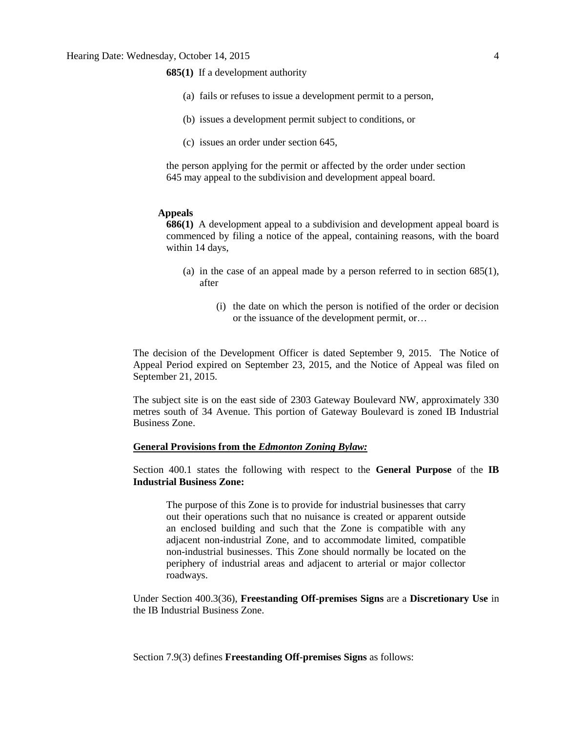**685(1)** If a development authority

- (a) fails or refuses to issue a development permit to a person,
- (b) issues a development permit subject to conditions, or
- (c) issues an order under section 645,

the person applying for the permit or affected by the order under section 645 may appeal to the subdivision and development appeal board.

#### **Appeals**

**686(1)** A development appeal to a subdivision and development appeal board is commenced by filing a notice of the appeal, containing reasons, with the board within 14 days,

- (a) in the case of an appeal made by a person referred to in section 685(1), after
	- (i) the date on which the person is notified of the order or decision or the issuance of the development permit, or…

The decision of the Development Officer is dated September 9, 2015. The Notice of Appeal Period expired on September 23, 2015, and the Notice of Appeal was filed on September 21, 2015.

The subject site is on the east side of 2303 Gateway Boulevard NW, approximately 330 metres south of 34 Avenue. This portion of Gateway Boulevard is zoned IB Industrial Business Zone.

#### **General Provisions from the** *Edmonton Zoning Bylaw:*

Section 400.1 states the following with respect to the **General Purpose** of the **IB Industrial Business Zone:**

The purpose of this Zone is to provide for industrial businesses that carry out their operations such that no nuisance is created or apparent outside an enclosed building and such that the Zone is compatible with any adjacent non-industrial Zone, and to accommodate limited, compatible non-industrial businesses. This Zone should normally be located on the periphery of industrial areas and adjacent to arterial or major collector roadways.

Under Section 400.3(36), **Freestanding Off-premises Signs** are a **Discretionary Use** in the IB Industrial Business Zone.

Section 7.9(3) defines **Freestanding Off-premises Signs** as follows: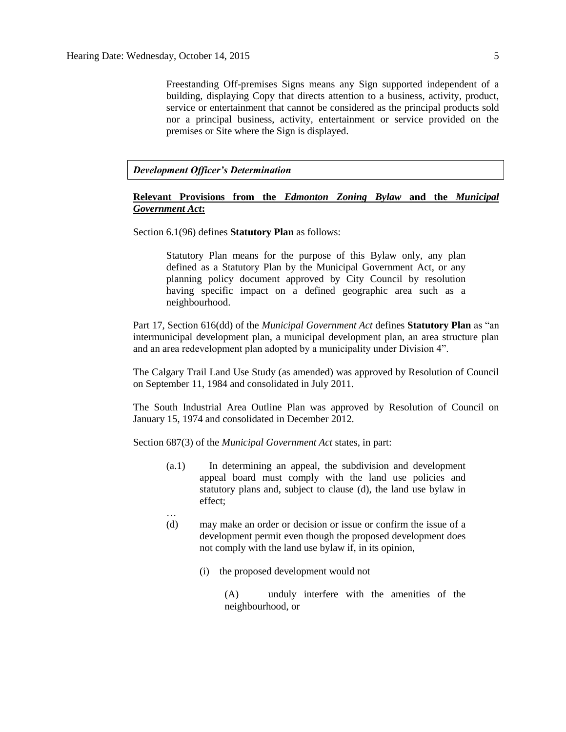Freestanding Off-premises Signs means any Sign supported independent of a building, displaying Copy that directs attention to a business, activity, product, service or entertainment that cannot be considered as the principal products sold nor a principal business, activity, entertainment or service provided on the premises or Site where the Sign is displayed.

*Development Officer's Determination*

#### **Relevant Provisions from the** *Edmonton Zoning Bylaw* **and the** *Municipal Government Act***:**

Section 6.1(96) defines **Statutory Plan** as follows:

Statutory Plan means for the purpose of this Bylaw only, any plan defined as a Statutory Plan by the Municipal Government Act, or any planning policy document approved by City Council by resolution having specific impact on a defined geographic area such as a neighbourhood.

Part 17, Section 616(dd) of the *Municipal Government Act* defines **Statutory Plan** as "an intermunicipal development plan, a municipal development plan, an area structure plan and an area redevelopment plan adopted by a municipality under Division 4".

The Calgary Trail Land Use Study (as amended) was approved by Resolution of Council on September 11, 1984 and consolidated in July 2011.

The South Industrial Area Outline Plan was approved by Resolution of Council on January 15, 1974 and consolidated in December 2012.

Section 687(3) of the *Municipal Government Act* states, in part:

…

- (a.1) In determining an appeal, the subdivision and development appeal board must comply with the land use policies and statutory plans and, subject to clause (d), the land use bylaw in effect;
- (d) may make an order or decision or issue or confirm the issue of a development permit even though the proposed development does not comply with the land use bylaw if, in its opinion,
	- (i) the proposed development would not

(A) unduly interfere with the amenities of the neighbourhood, or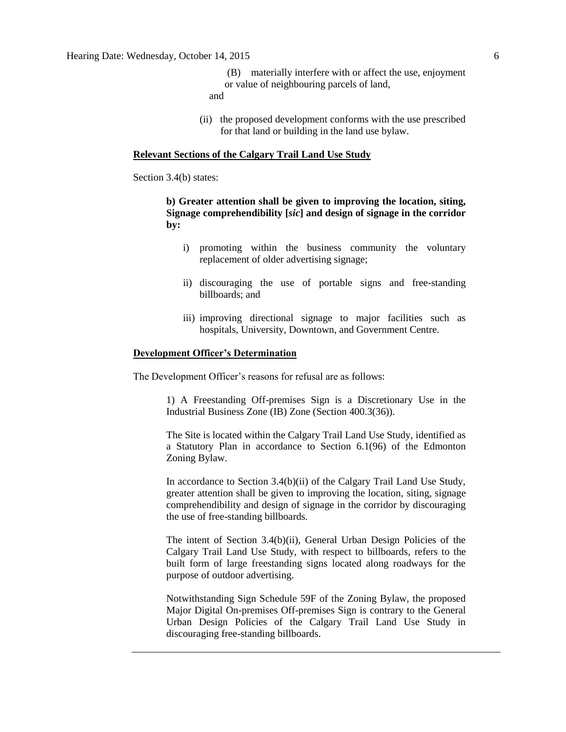and

(ii) the proposed development conforms with the use prescribed for that land or building in the land use bylaw.

#### **Relevant Sections of the Calgary Trail Land Use Study**

Section 3.4(b) states:

### **b) Greater attention shall be given to improving the location, siting, Signage comprehendibility [***sic***] and design of signage in the corridor by:**

- i) promoting within the business community the voluntary replacement of older advertising signage;
- ii) discouraging the use of portable signs and free-standing billboards; and
- iii) improving directional signage to major facilities such as hospitals, University, Downtown, and Government Centre.

#### **Development Officer's Determination**

The Development Officer's reasons for refusal are as follows:

1) A Freestanding Off-premises Sign is a Discretionary Use in the Industrial Business Zone (IB) Zone (Section 400.3(36)).

The Site is located within the Calgary Trail Land Use Study, identified as a Statutory Plan in accordance to Section 6.1(96) of the Edmonton Zoning Bylaw.

In accordance to Section 3.4(b)(ii) of the Calgary Trail Land Use Study, greater attention shall be given to improving the location, siting, signage comprehendibility and design of signage in the corridor by discouraging the use of free-standing billboards.

The intent of Section 3.4(b)(ii), General Urban Design Policies of the Calgary Trail Land Use Study, with respect to billboards, refers to the built form of large freestanding signs located along roadways for the purpose of outdoor advertising.

Notwithstanding Sign Schedule 59F of the Zoning Bylaw, the proposed Major Digital On-premises Off-premises Sign is contrary to the General Urban Design Policies of the Calgary Trail Land Use Study in discouraging free-standing billboards.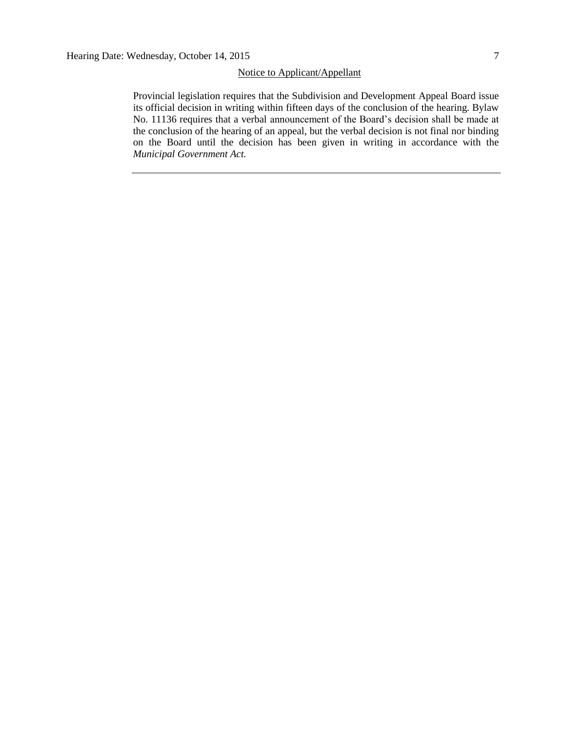#### Notice to Applicant/Appellant

Provincial legislation requires that the Subdivision and Development Appeal Board issue its official decision in writing within fifteen days of the conclusion of the hearing. Bylaw No. 11136 requires that a verbal announcement of the Board's decision shall be made at the conclusion of the hearing of an appeal, but the verbal decision is not final nor binding on the Board until the decision has been given in writing in accordance with the *Municipal Government Act.*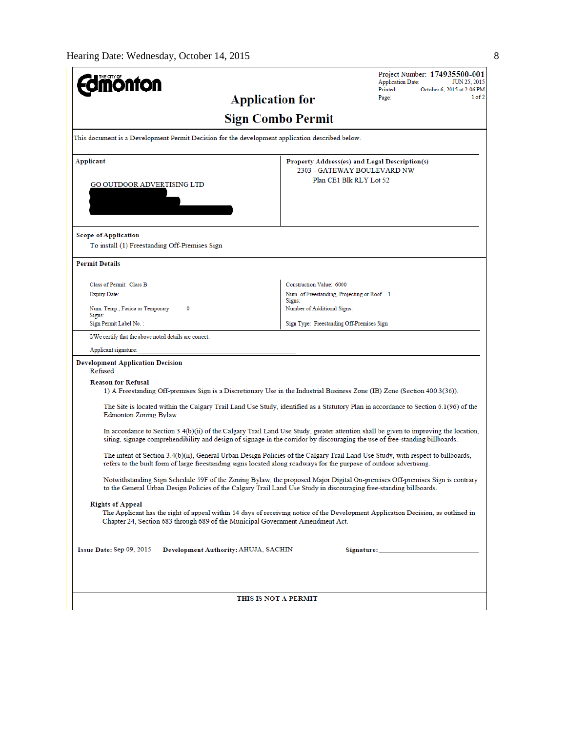| <b>nonton</b>                                                                                                                                                                                                                                                          |                                                      | Project Number: 174935500-001<br><b>Application Date:</b><br><b>JUN 25, 2015</b><br>Printed:<br>October 6, 2015 at 2:06 PM |  |  |  |
|------------------------------------------------------------------------------------------------------------------------------------------------------------------------------------------------------------------------------------------------------------------------|------------------------------------------------------|----------------------------------------------------------------------------------------------------------------------------|--|--|--|
|                                                                                                                                                                                                                                                                        | <b>Application for</b>                               | 1 of 2<br>Page:                                                                                                            |  |  |  |
|                                                                                                                                                                                                                                                                        | <b>Sign Combo Permit</b>                             |                                                                                                                            |  |  |  |
| This document is a Development Permit Decision for the development application described below.                                                                                                                                                                        |                                                      |                                                                                                                            |  |  |  |
| <b>Applicant</b>                                                                                                                                                                                                                                                       |                                                      | Property Address(es) and Legal Description(s)<br>2303 - GATEWAY BOULEVARD NW                                               |  |  |  |
| GO OUTDOOR ADVERTISING LTD                                                                                                                                                                                                                                             |                                                      | Plan CE1 Blk RLY Lot 52                                                                                                    |  |  |  |
|                                                                                                                                                                                                                                                                        |                                                      |                                                                                                                            |  |  |  |
| <b>Scope of Application</b>                                                                                                                                                                                                                                            |                                                      |                                                                                                                            |  |  |  |
| To install (1) Freestanding Off-Premises Sign                                                                                                                                                                                                                          |                                                      |                                                                                                                            |  |  |  |
| <b>Permit Details</b>                                                                                                                                                                                                                                                  |                                                      |                                                                                                                            |  |  |  |
| Class of Permit: Class B                                                                                                                                                                                                                                               | Construction Value: 6000                             |                                                                                                                            |  |  |  |
| <b>Expiry Date:</b>                                                                                                                                                                                                                                                    | Num. of Freestanding, Projecting or Roof 1<br>Signs: |                                                                                                                            |  |  |  |
| Num. Temp., Fasica or Temporary<br>0<br>Signs:                                                                                                                                                                                                                         | Number of Additional Signs:                          |                                                                                                                            |  |  |  |
| Sign Permit Label No.:                                                                                                                                                                                                                                                 | Sign Type: Freestanding Off-Premises Sign            |                                                                                                                            |  |  |  |
| I/We certify that the above noted details are correct.                                                                                                                                                                                                                 |                                                      |                                                                                                                            |  |  |  |
| Applicant signature:                                                                                                                                                                                                                                                   |                                                      |                                                                                                                            |  |  |  |
| <b>Development Application Decision</b><br>Refused                                                                                                                                                                                                                     |                                                      |                                                                                                                            |  |  |  |
| <b>Reason for Refusal</b><br>1) A Freestanding Off-premises Sign is a Discretionary Use in the Industrial Business Zone (IB) Zone (Section 400.3(36)).                                                                                                                 |                                                      |                                                                                                                            |  |  |  |
| The Site is located within the Calgary Trail Land Use Study, identified as a Statutory Plan in accordance to Section 6.1(96) of the<br>Edmonton Zoning Bylaw.                                                                                                          |                                                      |                                                                                                                            |  |  |  |
| In accordance to Section $3.4(b)(ii)$ of the Calgary Trail Land Use Study, greater attention shall be given to improving the location,<br>siting, signage comprehendibility and design of signage in the corridor by discouraging the use of free-standing billboards. |                                                      |                                                                                                                            |  |  |  |
| The intent of Section 3.4(b)(ii), General Urban Design Policies of the Calgary Trail Land Use Study, with respect to billboards,<br>refers to the built form of large freestanding signs located along roadways for the purpose of outdoor advertising.                |                                                      |                                                                                                                            |  |  |  |
| Notwithstanding Sign Schedule 59F of the Zoning Bylaw, the proposed Major Digital On-premises Off-premises Sign is contrary<br>to the General Urban Design Policies of the Calgary Trail Land Use Study in discouraging free-standing billboards.                      |                                                      |                                                                                                                            |  |  |  |
| <b>Rights of Appeal</b><br>The Applicant has the right of appeal within 14 days of receiving notice of the Development Application Decision, as outlined in<br>Chapter 24, Section 683 through 689 of the Municipal Government Amendment Act.                          |                                                      |                                                                                                                            |  |  |  |
| Issue Date: Sep 09, 2015<br>Development Authority: AHUJA, SACHIN                                                                                                                                                                                                       |                                                      |                                                                                                                            |  |  |  |
|                                                                                                                                                                                                                                                                        | THIS IS NOT A PERMIT                                 |                                                                                                                            |  |  |  |
|                                                                                                                                                                                                                                                                        |                                                      |                                                                                                                            |  |  |  |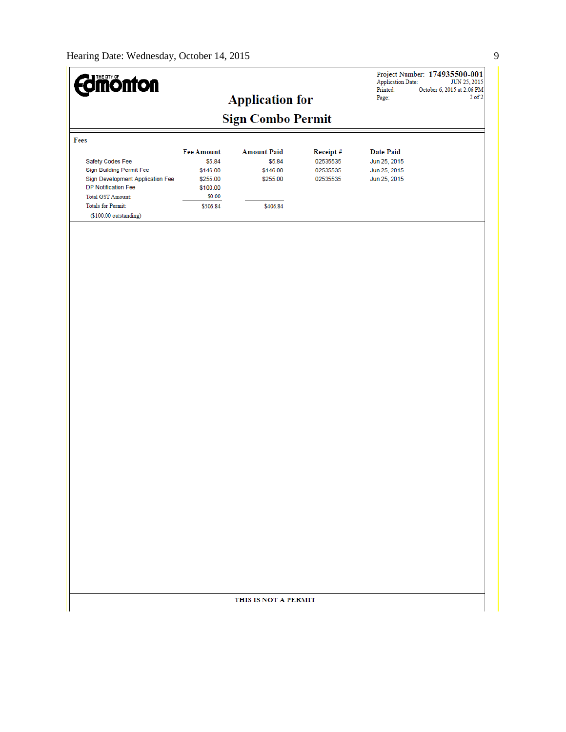| <b>dmönton</b>                                                                                                                                                                             |                                                                                       |                                                                  |                                              | <b>Application Date:</b><br>Printed:<br>Page:                    | Project Number: 174935500-001<br>JUN 25, 2015<br>October 6, 2015 at 2:06 PM<br>$2$ of $2$ |
|--------------------------------------------------------------------------------------------------------------------------------------------------------------------------------------------|---------------------------------------------------------------------------------------|------------------------------------------------------------------|----------------------------------------------|------------------------------------------------------------------|-------------------------------------------------------------------------------------------|
|                                                                                                                                                                                            |                                                                                       | <b>Application for</b><br><b>Sign Combo Permit</b>               |                                              |                                                                  |                                                                                           |
| Fees                                                                                                                                                                                       |                                                                                       |                                                                  |                                              |                                                                  |                                                                                           |
| Safety Codes Fee<br>Sign Building Permit Fee<br>Sign Development Application Fee<br>DP Notification Fee<br><b>Total GST Amount:</b><br><b>Totals for Permit:</b><br>(\$100.00 outstanding) | <b>Fee Amount</b><br>\$5.84<br>\$146.00<br>\$255.00<br>\$100.00<br>\$0.00<br>\$506.84 | <b>Amount Paid</b><br>\$5.84<br>\$146.00<br>\$255.00<br>\$406.84 | Receipt#<br>02535535<br>02535535<br>02535535 | <b>Date Paid</b><br>Jun 25, 2015<br>Jun 25, 2015<br>Jun 25, 2015 |                                                                                           |
|                                                                                                                                                                                            |                                                                                       |                                                                  |                                              |                                                                  |                                                                                           |
|                                                                                                                                                                                            |                                                                                       |                                                                  |                                              |                                                                  |                                                                                           |
|                                                                                                                                                                                            |                                                                                       |                                                                  |                                              |                                                                  |                                                                                           |
|                                                                                                                                                                                            |                                                                                       |                                                                  |                                              |                                                                  |                                                                                           |
|                                                                                                                                                                                            |                                                                                       |                                                                  |                                              |                                                                  |                                                                                           |
|                                                                                                                                                                                            |                                                                                       |                                                                  |                                              |                                                                  |                                                                                           |
|                                                                                                                                                                                            |                                                                                       |                                                                  |                                              |                                                                  |                                                                                           |
|                                                                                                                                                                                            |                                                                                       |                                                                  |                                              |                                                                  |                                                                                           |
|                                                                                                                                                                                            |                                                                                       |                                                                  |                                              |                                                                  |                                                                                           |
|                                                                                                                                                                                            |                                                                                       |                                                                  |                                              |                                                                  |                                                                                           |
|                                                                                                                                                                                            |                                                                                       |                                                                  |                                              |                                                                  |                                                                                           |
|                                                                                                                                                                                            |                                                                                       |                                                                  |                                              |                                                                  |                                                                                           |
|                                                                                                                                                                                            |                                                                                       | THIS IS NOT A PERMIT                                             |                                              |                                                                  |                                                                                           |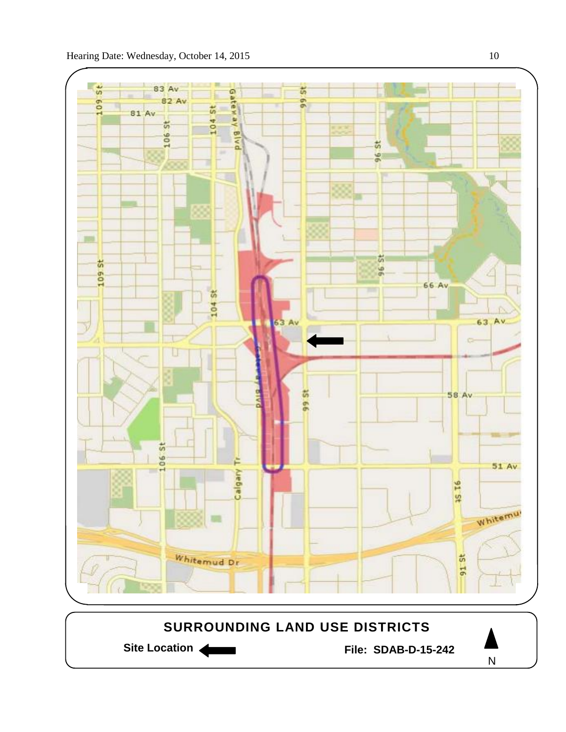